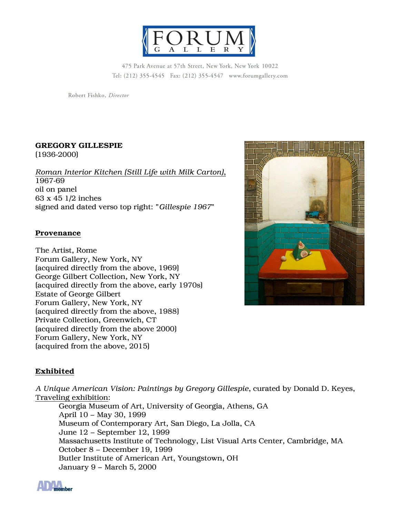

475 Park Avenue at 57th Street, New York, New York 10022 Tel: (212) 355-4545 Fax: (212) 355-4547 www.forumgallery.com

Robert Fishko, Director

## **GREGORY GILLESPIE**

(1936-2000)

*Roman Interior Kitchen (Still Life with Milk Carton)*, 1967-69 oil on panel 63 x 45 1/2 inches signed and dated verso top right: "*Gillespie 1967*"

## **Provenance**

The Artist, Rome Forum Gallery, New York, NY (acquired directly from the above, 1969) George Gilbert Collection, New York, NY (acquired directly from the above, early 1970s) Estate of George Gilbert Forum Gallery, New York, NY (acquired directly from the above, 1988) Private Collection, Greenwich, CT (acquired directly from the above 2000) Forum Gallery, New York, NY (acquired from the above, 2015)

# **Exhibited**

*A Unique American Vision: Paintings by Gregory Gillespie*, curated by Donald D. Keyes, Traveling exhibition:

Georgia Museum of Art, University of Georgia, Athens, GA April 10 – May 30, 1999 Museum of Contemporary Art, San Diego, La Jolla, CA June 12 – September 12, 1999 Massachusetts Institute of Technology, List Visual Arts Center, Cambridge, MA October 8 – December 19, 1999 Butler Institute of American Art, Youngstown, OH January 9 – March 5, 2000

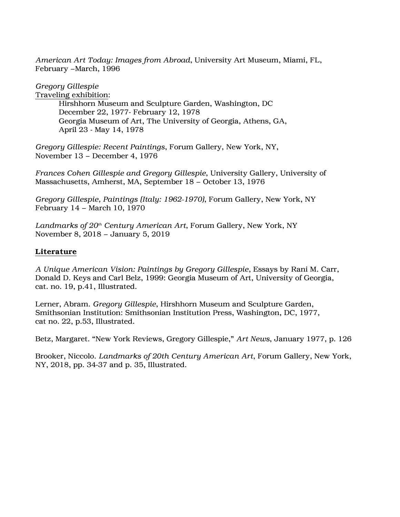*American Art Today: Images from Abroad*, University Art Museum, Miami, FL, February –March, 1996

*Gregory Gillespie*

Traveling exhibition: Hirshhorn Museum and Sculpture Garden, Washington, DC December 22, 1977- February 12, 1978 Georgia Museum of Art, The University of Georgia, Athens, GA, April 23 - May 14, 1978

*Gregory Gillespie: Recent Paintings*, Forum Gallery, New York, NY, November 13 – December 4, 1976

*Frances Cohen Gillespie and Gregory Gillespie*, University Gallery, University of Massachusetts, Amherst, MA, September 18 – October 13, 1976

*Gregory Gillespie, Paintings (Italy: 1962-1970)*, Forum Gallery, New York, NY February 14 – March 10, 1970

*Landmarks of 20th Century American Art*, Forum Gallery, New York, NY November 8, 2018 – January 5, 2019

# **Literature**

*A Unique American Vision: Paintings by Gregory Gillespie*, Essays by Rani M. Carr, Donald D. Keys and Carl Belz, 1999: Georgia Museum of Art, University of Georgia, cat. no. 19, p.41, Illustrated.

Lerner, Abram. *Gregory Gillespie*, Hirshhorn Museum and Sculpture Garden, Smithsonian Institution: Smithsonian Institution Press, Washington, DC, 1977, cat no. 22, p.53, Illustrated.

Betz, Margaret. "New York Reviews, Gregory Gillespie," *Art News*, January 1977, p. 126

Brooker, Niccolo. *Landmarks of 20th Century American Art*, Forum Gallery, New York, NY, 2018, pp. 34-37 and p. 35, Illustrated.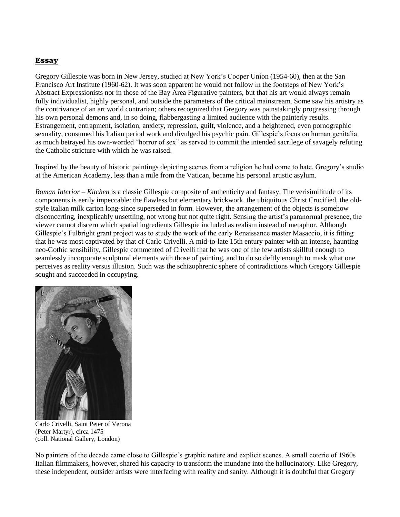#### **Essay**

Gregory Gillespie was born in New Jersey, studied at New York's Cooper Union (1954-60), then at the San Francisco Art Institute (1960-62). It was soon apparent he would not follow in the footsteps of New York's Abstract Expressionists nor in those of the Bay Area Figurative painters, but that his art would always remain fully individualist, highly personal, and outside the parameters of the critical mainstream. Some saw his artistry as the contrivance of an art world contrarian; others recognized that Gregory was painstakingly progressing through his own personal demons and, in so doing, flabbergasting a limited audience with the painterly results. Estrangement, entrapment, isolation, anxiety, repression, guilt, violence, and a heightened, even pornographic sexuality, consumed his Italian period work and divulged his psychic pain. Gillespie's focus on human genitalia as much betrayed his own-worded "horror of sex" as served to commit the intended sacrilege of savagely refuting the Catholic stricture with which he was raised.

Inspired by the beauty of historic paintings depicting scenes from a religion he had come to hate, Gregory's studio at the American Academy, less than a mile from the Vatican, became his personal artistic asylum.

*Roman Interior – Kitchen* is a classic Gillespie composite of authenticity and fantasy. The verisimilitude of its components is eerily impeccable: the flawless but elementary brickwork, the ubiquitous Christ Crucified, the oldstyle Italian milk carton long-since superseded in form. However, the arrangement of the objects is somehow disconcerting, inexplicably unsettling, not wrong but not quite right. Sensing the artist's paranormal presence, the viewer cannot discern which spatial ingredients Gillespie included as realism instead of metaphor. Although Gillespie's Fulbright grant project was to study the work of the early Renaissance master Masaccio, it is fitting that he was most captivated by that of Carlo Crivelli. A mid-to-late 15th entury painter with an intense, haunting neo-Gothic sensibility, Gillespie commented of Crivelli that he was one of the few artists skillful enough to seamlessly incorporate sculptural elements with those of painting, and to do so deftly enough to mask what one perceives as reality versus illusion. Such was the schizophrenic sphere of contradictions which Gregory Gillespie sought and succeeded in occupying.



Carlo Crivelli, Saint Peter of Verona (Peter Martyr), circa 1475 (coll. National Gallery, London)

No painters of the decade came close to Gillespie's graphic nature and explicit scenes. A small coterie of 1960s Italian filmmakers, however, shared his capacity to transform the mundane into the hallucinatory. Like Gregory, these independent, outsider artists were interfacing with reality and sanity. Although it is doubtful that Gregory